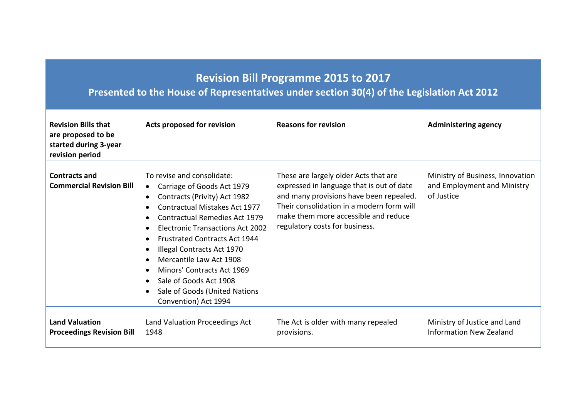## **Revision Bill Programme 2015 to 2017**

## **Presented to the House of Representatives under section 30(4) of the Legislation Act 2012**

| <b>Revision Bills that</b><br>are proposed to be<br>started during 3-year<br>revision period | Acts proposed for revision                                                                                                                                                                                                                                                                                                                                                                                                                                                                                                                          | <b>Reasons for revision</b>                                                                                                                                                                                                                          | <b>Administering agency</b>                                                   |
|----------------------------------------------------------------------------------------------|-----------------------------------------------------------------------------------------------------------------------------------------------------------------------------------------------------------------------------------------------------------------------------------------------------------------------------------------------------------------------------------------------------------------------------------------------------------------------------------------------------------------------------------------------------|------------------------------------------------------------------------------------------------------------------------------------------------------------------------------------------------------------------------------------------------------|-------------------------------------------------------------------------------|
| <b>Contracts and</b><br><b>Commercial Revision Bill</b>                                      | To revise and consolidate:<br>Carriage of Goods Act 1979<br>$\bullet$<br>Contracts (Privity) Act 1982<br>$\bullet$<br>Contractual Mistakes Act 1977<br>$\bullet$<br><b>Contractual Remedies Act 1979</b><br><b>Electronic Transactions Act 2002</b><br>$\bullet$<br><b>Frustrated Contracts Act 1944</b><br>$\bullet$<br>Illegal Contracts Act 1970<br>$\bullet$<br>Mercantile Law Act 1908<br>Minors' Contracts Act 1969<br>$\bullet$<br>Sale of Goods Act 1908<br>$\bullet$<br>Sale of Goods (United Nations<br>$\bullet$<br>Convention) Act 1994 | These are largely older Acts that are<br>expressed in language that is out of date<br>and many provisions have been repealed.<br>Their consolidation in a modern form will<br>make them more accessible and reduce<br>regulatory costs for business. | Ministry of Business, Innovation<br>and Employment and Ministry<br>of Justice |
| <b>Land Valuation</b><br><b>Proceedings Revision Bill</b>                                    | Land Valuation Proceedings Act<br>1948                                                                                                                                                                                                                                                                                                                                                                                                                                                                                                              | The Act is older with many repealed<br>provisions.                                                                                                                                                                                                   | Ministry of Justice and Land<br><b>Information New Zealand</b>                |